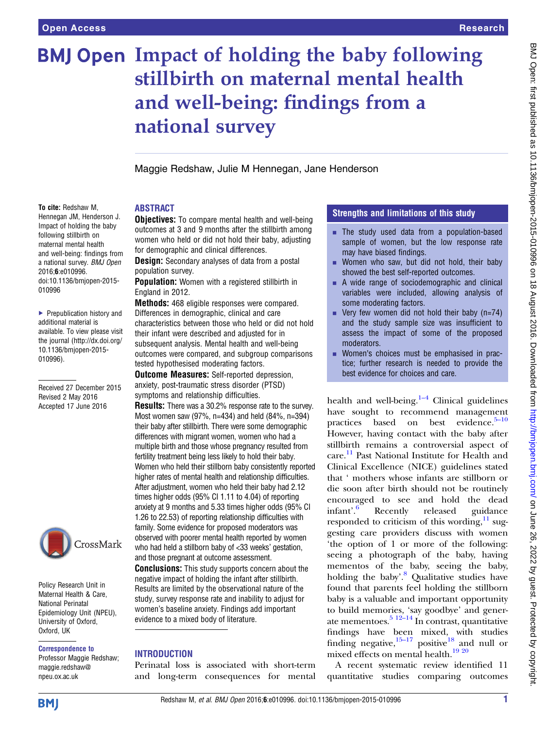# BMJ Open Impact of holding the baby following stillbirth on maternal mental health and well-being: findings from a national survey

Maggie Redshaw, Julie M Hennegan, Jane Henderson

#### To cite: Redshaw M,

Hennegan JM, Henderson J. Impact of holding the baby following stillbirth on maternal mental health and well-being: findings from a national survey. BMJ Open 2016;6:e010996. doi:10.1136/bmjopen-2015- 010996

▶ Prepublication history and additional material is available. To view please visit the journal [\(http://dx.doi.org/](http://dx.doi.org/10.1136/bmjopen-2015-010996) [10.1136/bmjopen-2015-](http://dx.doi.org/10.1136/bmjopen-2015-010996) [010996\)](http://dx.doi.org/10.1136/bmjopen-2015-010996).

Received 27 December 2015 Revised 2 May 2016 Accepted 17 June 2016



Policy Research Unit in Maternal Health & Care, National Perinatal Epidemiology Unit (NPEU), University of Oxford, Oxford, UK

Correspondence to

Professor Maggie Redshaw; maggie.redshaw@ npeu.ox.ac.uk

# ABSTRACT

**Objectives:** To compare mental health and well-being outcomes at 3 and 9 months after the stillbirth among women who held or did not hold their baby, adjusting for demographic and clinical differences.

**Design:** Secondary analyses of data from a postal population survey.

**Population:** Women with a registered stillbirth in England in 2012.

Methods: 468 eligible responses were compared. Differences in demographic, clinical and care characteristics between those who held or did not hold their infant were described and adjusted for in subsequent analysis. Mental health and well-being outcomes were compared, and subgroup comparisons tested hypothesised moderating factors.

**Outcome Measures:** Self-reported depression. anxiety, post-traumatic stress disorder (PTSD) symptoms and relationship difficulties.

**Results:** There was a 30.2% response rate to the survey. Most women saw (97%, n=434) and held (84%, n=394) their baby after stillbirth. There were some demographic differences with migrant women, women who had a multiple birth and those whose pregnancy resulted from fertility treatment being less likely to hold their baby. Women who held their stillborn baby consistently reported higher rates of mental health and relationship difficulties. After adjustment, women who held their baby had 2.12 times higher odds (95% CI 1.11 to 4.04) of reporting anxiety at 9 months and 5.33 times higher odds (95% CI 1.26 to 22.53) of reporting relationship difficulties with family. Some evidence for proposed moderators was observed with poorer mental health reported by women who had held a stillborn baby of <33 weeks' gestation, and those pregnant at outcome assessment.

**Conclusions:** This study supports concern about the negative impact of holding the infant after stillbirth. Results are limited by the observational nature of the study, survey response rate and inability to adjust for women's baseline anxiety. Findings add important evidence to a mixed body of literature.

# **INTRODUCTION**

Perinatal loss is associated with short-term and long-term consequences for mental

# Strengths and limitations of this study

- **EXTER 15 The study used data from a population-based** sample of women, but the low response rate may have biased findings.
- $\blacksquare$  Women who saw, but did not hold, their baby showed the best self-reported outcomes.
- $\blacksquare$  A wide range of sociodemographic and clinical variables were included, allowing analysis of some moderating factors.
- **Very few women did not hold their baby (n=74)** and the study sample size was insufficient to assess the impact of some of the proposed moderators.
- Women's choices must be emphasised in practice; further research is needed to provide the best evidence for choices and care.

health and well-being. $1-4$  $1-4$  Clinical guidelines have sought to recommend management practices based on best evidence.<sup>5–[10](#page-8-0)</sup> However, having contact with the baby after stillbirth remains a controversial aspect of care. [11](#page-8-0) Past National Institute for Health and Clinical Excellence (NICE) guidelines stated that ' mothers whose infants are stillborn or die soon after birth should not be routinely encouraged to see and hold the dead infant'. Recently released guidance responded to criticism of this wording, $^{11}$  $^{11}$  $^{11}$  suggesting care providers discuss with women 'the option of 1 or more of the following: seeing a photograph of the baby, having mementos of the baby, seeing the baby, holding the baby'.<sup>[8](#page-8-0)</sup> Qualitative studies have found that parents feel holding the stillborn baby is a valuable and important opportunity to build memories, 'say goodbye' and generate mementoes. $5 \frac{12-14}{n}$  In contrast, quantitative findings have been mixed, with studies finding negative,  $15-17$  $15-17$  positive  $18$  and null or mixed effects on mental health.<sup>[19 20](#page-8-0)</sup>

A recent systematic review identified 11 quantitative studies comparing outcomes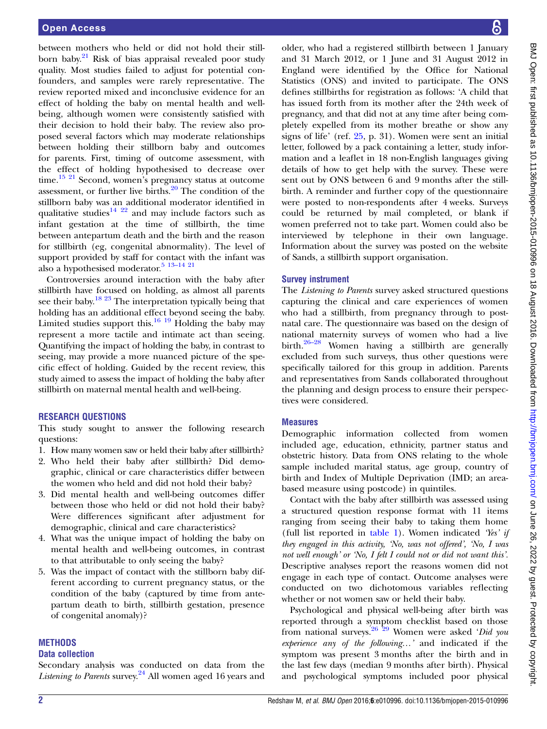between mothers who held or did not hold their still-born baby.<sup>[21](#page-8-0)</sup> Risk of bias appraisal revealed poor study quality. Most studies failed to adjust for potential confounders, and samples were rarely representative. The review reported mixed and inconclusive evidence for an effect of holding the baby on mental health and wellbeing, although women were consistently satisfied with their decision to hold their baby. The review also proposed several factors which may moderate relationships between holding their stillborn baby and outcomes for parents. First, timing of outcome assessment, with the effect of holding hypothesised to decrease over time.<sup>[15 21](#page-8-0)</sup> Second, women's pregnancy status at outcome assessment, or further live births. $20$  The condition of the stillborn baby was an additional moderator identified in qualitative studies<sup>[14 22](#page-8-0)</sup> and may include factors such as infant gestation at the time of stillbirth, the time between antepartum death and the birth and the reason for stillbirth (eg, congenital abnormality). The level of support provided by staff for contact with the infant was also a hypothesised moderator. $5^{5}$  13–14 [21](#page-8-0)

Controversies around interaction with the baby after stillbirth have focused on holding, as almost all parents see their baby.<sup>18 23</sup> The interpretation typically being that holding has an additional effect beyond seeing the baby. Limited studies support this.<sup>[16 19](#page-8-0)</sup> Holding the baby may represent a more tactile and intimate act than seeing. Quantifying the impact of holding the baby, in contrast to seeing, may provide a more nuanced picture of the specific effect of holding. Guided by the recent review, this study aimed to assess the impact of holding the baby after stillbirth on maternal mental health and well-being.

# RESEARCH QUESTIONS

This study sought to answer the following research questions:

- 1. How many women saw or held their baby after stillbirth?
- 2. Who held their baby after stillbirth? Did demographic, clinical or care characteristics differ between the women who held and did not hold their baby?
- 3. Did mental health and well-being outcomes differ between those who held or did not hold their baby? Were differences significant after adjustment for demographic, clinical and care characteristics?
- 4. What was the unique impact of holding the baby on mental health and well-being outcomes, in contrast to that attributable to only seeing the baby?
- 5. Was the impact of contact with the stillborn baby different according to current pregnancy status, or the condition of the baby (captured by time from antepartum death to birth, stillbirth gestation, presence of congenital anomaly)?

# **METHODS**

#### Data collection

Secondary analysis was conducted on data from the Listening to Parents survey.<sup>24</sup> All women aged 16 years and

older, who had a registered stillbirth between 1 January and 31 March 2012, or 1 June and 31 August 2012 in England were identified by the Office for National Statistics (ONS) and invited to participate. The ONS defines stillbirths for registration as follows: 'A child that has issued forth from its mother after the 24th week of pregnancy, and that did not at any time after being completely expelled from its mother breathe or show any signs of life' (ref. [25,](#page-8-0) p. 31). Women were sent an initial letter, followed by a pack containing a letter, study information and a leaflet in 18 non-English languages giving details of how to get help with the survey. These were sent out by ONS between 6 and 9 months after the stillbirth. A reminder and further copy of the questionnaire were posted to non-respondents after 4 weeks. Surveys could be returned by mail completed, or blank if women preferred not to take part. Women could also be interviewed by telephone in their own language. Information about the survey was posted on the website of Sands, a stillbirth support organisation.

#### Survey instrument

The Listening to Parents survey asked structured questions capturing the clinical and care experiences of women who had a stillbirth, from pregnancy through to postnatal care. The questionnaire was based on the design of national maternity surveys of women who had a live birth.26–[28](#page-8-0) Women having a stillbirth are generally excluded from such surveys, thus other questions were specifically tailored for this group in addition. Parents and representatives from Sands collaborated throughout the planning and design process to ensure their perspectives were considered.

# Measures

Demographic information collected from women included age, education, ethnicity, partner status and obstetric history. Data from ONS relating to the whole sample included marital status, age group, country of birth and Index of Multiple Deprivation (IMD; an areabased measure using postcode) in quintiles.

Contact with the baby after stillbirth was assessed using a structured question response format with 11 items ranging from seeing their baby to taking them home (full list reported in [table 1\)](#page-2-0). Women indicated 'Yes' if they engaged in this activity, 'No, was not offered', 'No, I was not well enough' or 'No, I felt I could not or did not want this'. Descriptive analyses report the reasons women did not engage in each type of contact. Outcome analyses were conducted on two dichotomous variables reflecting whether or not women saw or held their baby.

Psychological and physical well-being after birth was reported through a symptom checklist based on those from national surveys.<sup>26</sup> <sup>29</sup> Women were asked 'Did you experience any of the following…' and indicated if the symptom was present 3 months after the birth and in the last few days (median 9 months after birth). Physical and psychological symptoms included poor physical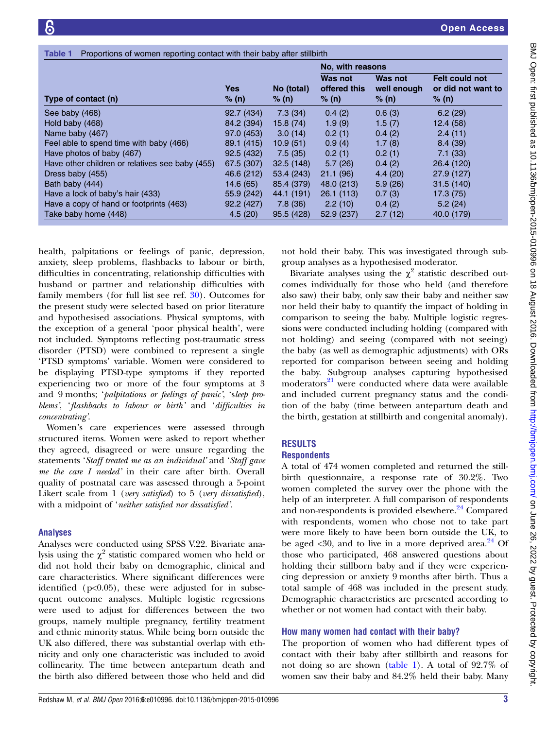<span id="page-2-0"></span>

|                                                 | <b>Yes</b><br>% (n) | No (total)<br>% (n) | No, with reasons                 |                                 |                                               |
|-------------------------------------------------|---------------------|---------------------|----------------------------------|---------------------------------|-----------------------------------------------|
| Type of contact (n)                             |                     |                     | Was not<br>offered this<br>% (n) | Was not<br>well enough<br>% (n) | Felt could not<br>or did not want to<br>% (n) |
| See baby (468)                                  | 92.7 (434)          | 7.3(34)             | 0.4(2)                           | 0.6(3)                          | 6.2(29)                                       |
| Hold baby (468)                                 | 84.2 (394)          | 15.8(74)            | 1.9(9)                           | 1.5(7)                          | 12.4 (58)                                     |
| Name baby (467)                                 | 97.0 (453)          | 3.0(14)             | 0.2(1)                           | 0.4(2)                          | 2.4(11)                                       |
| Feel able to spend time with baby (466)         | 89.1 (415)          | 10.9(51)            | 0.9(4)                           | 1.7(8)                          | 8.4(39)                                       |
| Have photos of baby (467)                       | 92.5 (432)          | 7.5(35)             | 0.2(1)                           | 0.2(1)                          | 7.1(33)                                       |
| Have other children or relatives see baby (455) | 67.5 (307)          | 32.5(148)           | 5.7(26)                          | 0.4(2)                          | 26.4 (120)                                    |
| Dress baby (455)                                | 46.6 (212)          | 53.4(243)           | 21.1(96)                         | 4.4(20)                         | 27.9 (127)                                    |
| Bath baby (444)                                 | 14.6(65)            | 85.4 (379)          | 48.0 (213)                       | 5.9(26)                         | 31.5(140)                                     |
| Have a lock of baby's hair (433)                | 55.9 (242)          | 44.1 (191)          | 26.1(113)                        | 0.7(3)                          | 17.3 (75)                                     |
| Have a copy of hand or footprints (463)         | 92.2 (427)          | 7.8(36)             | 2.2(10)                          | 0.4(2)                          | 5.2(24)                                       |
| Take baby home (448)                            | 4.5(20)             | 95.5 (428)          | 52.9 (237)                       | 2.7(12)                         | 40.0 (179)                                    |

health, palpitations or feelings of panic, depression, anxiety, sleep problems, flashbacks to labour or birth, difficulties in concentrating, relationship difficulties with husband or partner and relationship difficulties with family members (for full list see ref. [30](#page-8-0)). Outcomes for the present study were selected based on prior literature and hypothesised associations. Physical symptoms, with the exception of a general 'poor physical health', were not included. Symptoms reflecting post-traumatic stress disorder (PTSD) were combined to represent a single 'PTSD symptoms' variable. Women were considered to be displaying PTSD-type symptoms if they reported experiencing two or more of the four symptoms at 3 and 9 months; 'palpitations or feelings of panic', 'sleep problems', 'flashbacks to labour or birth' and 'difficulties in concentrating'.

Women's care experiences were assessed through structured items. Women were asked to report whether they agreed, disagreed or were unsure regarding the statements 'Staff treated me as an individual' and 'Staff gave me the care I needed' in their care after birth. Overall quality of postnatal care was assessed through a 5-point Likert scale from 1 (very satisfied) to 5 (very dissatisfied), with a midpoint of 'neither satisfied nor dissatisfied'.

# Analyses

Analyses were conducted using SPSS V.22. Bivariate analysis using the  $\chi^2$  statistic compared women who held or did not hold their baby on demographic, clinical and care characteristics. Where significant differences were identified  $(p<0.05)$ , these were adjusted for in subsequent outcome analyses. Multiple logistic regressions were used to adjust for differences between the two groups, namely multiple pregnancy, fertility treatment and ethnic minority status. While being born outside the UK also differed, there was substantial overlap with ethnicity and only one characteristic was included to avoid collinearity. The time between antepartum death and the birth also differed between those who held and did

not hold their baby. This was investigated through subgroup analyses as a hypothesised moderator.

Bivariate analyses using the  $\chi^2$  statistic described outcomes individually for those who held (and therefore also saw) their baby, only saw their baby and neither saw nor held their baby to quantify the impact of holding in comparison to seeing the baby. Multiple logistic regressions were conducted including holding (compared with not holding) and seeing (compared with not seeing) the baby (as well as demographic adjustments) with ORs reported for comparison between seeing and holding the baby. Subgroup analyses capturing hypothesised moderators $^{21}$  $^{21}$  $^{21}$  were conducted where data were available and included current pregnancy status and the condition of the baby (time between antepartum death and the birth, gestation at stillbirth and congenital anomaly).

# RESULTS

# **Respondents**

A total of 474 women completed and returned the stillbirth questionnaire, a response rate of 30.2%. Two women completed the survey over the phone with the help of an interpreter. A full comparison of respondents and non-respondents is provided elsewhere.<sup>24</sup> Compared with respondents, women who chose not to take part were more likely to have been born outside the UK, to be aged  $\langle 30, \text{ and to live in a more deprived area.}^2$  Of those who participated, 468 answered questions about holding their stillborn baby and if they were experiencing depression or anxiety 9 months after birth. Thus a total sample of 468 was included in the present study. Demographic characteristics are presented according to whether or not women had contact with their baby.

# How many women had contact with their baby?

The proportion of women who had different types of contact with their baby after stillbirth and reasons for not doing so are shown (table 1). A total of 92.7% of women saw their baby and 84.2% held their baby. Many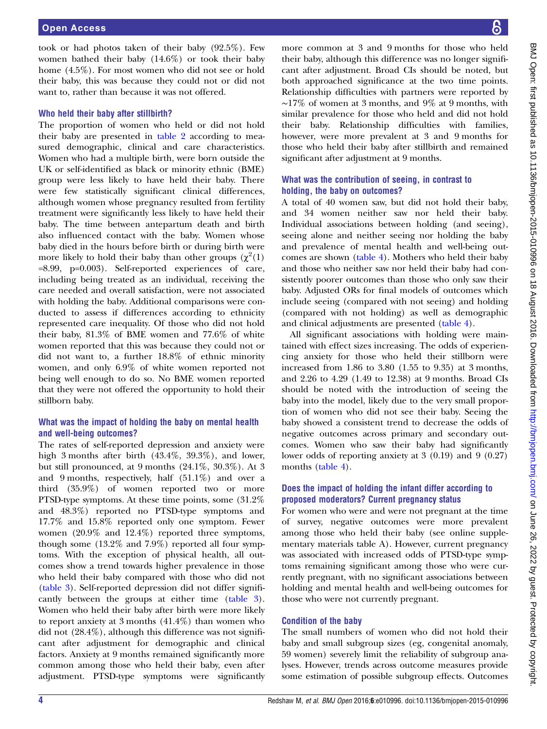took or had photos taken of their baby (92.5%). Few women bathed their baby (14.6%) or took their baby home (4.5%). For most women who did not see or hold their baby, this was because they could not or did not want to, rather than because it was not offered.

#### Who held their baby after stillbirth?

The proportion of women who held or did not hold their baby are presented in [table 2](#page-4-0) according to measured demographic, clinical and care characteristics. Women who had a multiple birth, were born outside the UK or self-identified as black or minority ethnic (BME) group were less likely to have held their baby. There were few statistically significant clinical differences, although women whose pregnancy resulted from fertility treatment were significantly less likely to have held their baby. The time between antepartum death and birth also influenced contact with the baby. Women whose baby died in the hours before birth or during birth were more likely to hold their baby than other groups  $(\chi^2(1))$ =8.99, p=0.003). Self-reported experiences of care, including being treated as an individual, receiving the care needed and overall satisfaction, were not associated with holding the baby. Additional comparisons were conducted to assess if differences according to ethnicity represented care inequality. Of those who did not hold their baby, 81.3% of BME women and 77.6% of white women reported that this was because they could not or did not want to, a further 18.8% of ethnic minority women, and only 6.9% of white women reported not being well enough to do so. No BME women reported that they were not offered the opportunity to hold their stillborn baby.

#### What was the impact of holding the baby on mental health and well-being outcomes?

The rates of self-reported depression and anxiety were high 3 months after birth (43.4%, 39.3%), and lower, but still pronounced, at 9 months (24.1%, 30.3%). At 3 and 9 months, respectively, half (51.1%) and over a third (35.9%) of women reported two or more PTSD-type symptoms. At these time points, some (31.2% and 48.3%) reported no PTSD-type symptoms and 17.7% and 15.8% reported only one symptom. Fewer women (20.9% and 12.4%) reported three symptoms, though some (13.2% and 7.9%) reported all four symptoms. With the exception of physical health, all outcomes show a trend towards higher prevalence in those who held their baby compared with those who did not [\(table 3](#page-5-0)). Self-reported depression did not differ significantly between the groups at either time ([table 3\)](#page-5-0). Women who held their baby after birth were more likely to report anxiety at 3 months (41.4%) than women who did not (28.4%), although this difference was not significant after adjustment for demographic and clinical factors. Anxiety at 9 months remained significantly more common among those who held their baby, even after adjustment. PTSD-type symptoms were significantly

more common at 3 and 9 months for those who held their baby, although this difference was no longer significant after adjustment. Broad CIs should be noted, but both approached significance at the two time points. Relationship difficulties with partners were reported by ∼17% of women at 3 months, and 9% at 9 months, with similar prevalence for those who held and did not hold their baby. Relationship difficulties with families, however, were more prevalent at 3 and 9 months for those who held their baby after stillbirth and remained significant after adjustment at 9 months.

# What was the contribution of seeing, in contrast to holding, the baby on outcomes?

A total of 40 women saw, but did not hold their baby, and 34 women neither saw nor held their baby. Individual associations between holding (and seeing), seeing alone and neither seeing nor holding the baby and prevalence of mental health and well-being outcomes are shown [\(table 4\)](#page-6-0). Mothers who held their baby and those who neither saw nor held their baby had consistently poorer outcomes than those who only saw their baby. Adjusted ORs for final models of outcomes which include seeing (compared with not seeing) and holding (compared with not holding) as well as demographic and clinical adjustments are presented [\(table 4\)](#page-6-0).

All significant associations with holding were maintained with effect sizes increasing. The odds of experiencing anxiety for those who held their stillborn were increased from 1.86 to 3.80 (1.55 to 9.35) at 3 months, and 2.26 to 4.29 (1.49 to 12.38) at 9 months. Broad CIs should be noted with the introduction of seeing the baby into the model, likely due to the very small proportion of women who did not see their baby. Seeing the baby showed a consistent trend to decrease the odds of negative outcomes across primary and secondary outcomes. Women who saw their baby had significantly lower odds of reporting anxiety at 3 (0.19) and 9 (0.27) months ([table 4](#page-6-0)).

#### Does the impact of holding the infant differ according to proposed moderators? Current pregnancy status

For women who were and were not pregnant at the time of survey, negative outcomes were more prevalent among those who held their baby (see online supplementary materials table A). However, current pregnancy was associated with increased odds of PTSD-type symptoms remaining significant among those who were currently pregnant, with no significant associations between holding and mental health and well-being outcomes for those who were not currently pregnant.

#### Condition of the baby

The small numbers of women who did not hold their baby and small subgroup sizes (eg, congenital anomaly, 59 women) severely limit the reliability of subgroup analyses. However, trends across outcome measures provide some estimation of possible subgroup effects. Outcomes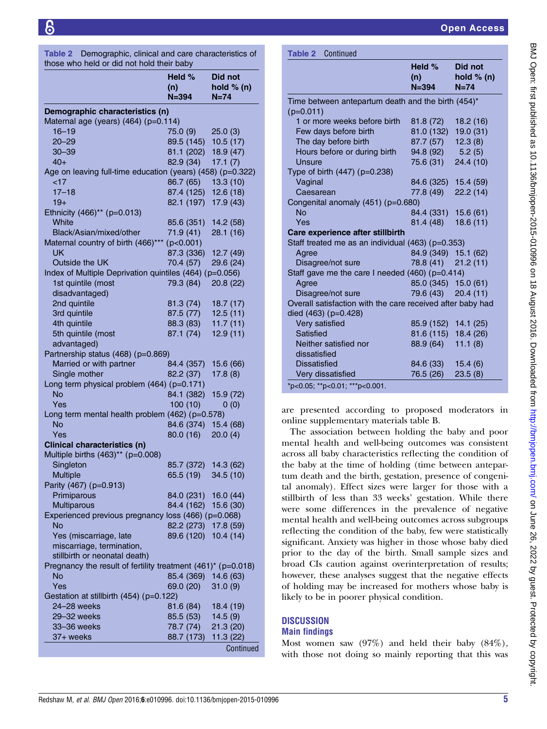<span id="page-4-0"></span>

| <b>Table 2</b> Demographic, clinical and care characteristics of<br>those who held or did not hold their baby |                                                                                                                                                  |  |  |
|---------------------------------------------------------------------------------------------------------------|--------------------------------------------------------------------------------------------------------------------------------------------------|--|--|
| Held %<br>(n)<br>$N = 394$                                                                                    | Did not<br>hold $% (n)$<br>$N=74$                                                                                                                |  |  |
|                                                                                                               |                                                                                                                                                  |  |  |
|                                                                                                               |                                                                                                                                                  |  |  |
| 75.0 (9)                                                                                                      | 25.0(3)                                                                                                                                          |  |  |
|                                                                                                               |                                                                                                                                                  |  |  |
|                                                                                                               |                                                                                                                                                  |  |  |
|                                                                                                               |                                                                                                                                                  |  |  |
|                                                                                                               | Demographic characteristics (n)<br>Maternal age (years) $(464)$ (p=0.114)<br>89.5 (145) 10.5 (17)<br>81.1 (202) 18.9 (47)<br>$82.9(34)$ 17.1 (7) |  |  |

| $40+$                                                        | 82.9 (34)            | 17.1(7)   |
|--------------------------------------------------------------|----------------------|-----------|
| Age on leaving full-time education (years) (458) (p=0.322)   |                      |           |
| $<$ 17                                                       | 86.7 (65)            | 13.3(10)  |
| $17 - 18$                                                    | 87.4 (125) 12.6 (18) |           |
| $19+$                                                        | 82.1 (197)           | 17.9 (43) |
| Ethnicity (466)** (p=0.013)                                  |                      |           |
| White                                                        | 85.6 (351)           | 14.2 (58) |
| Black/Asian/mixed/other                                      | 71.9(41)             | 28.1(16)  |
| Maternal country of birth (466)***                           | (p<0.001)            |           |
| UK                                                           | 87.3 (336)           | 12.7 (49) |
| Outside the UK                                               | 70.4 (57)            | 29.6 (24) |
| Index of Multiple Deprivation quintiles (464) (p=0.056)      |                      |           |
| 1st quintile (most                                           | 79.3 (84)            | 20.8 (22) |
| disadvantaged)                                               |                      |           |
| 2nd quintile                                                 |                      |           |
|                                                              | 81.3 (74)            | 18.7(17)  |
| 3rd quintile                                                 | 87.5 (77)            | 12.5(11)  |
| 4th quintile                                                 | 88.3 (83)            | 11.7(11)  |
| 5th quintile (most                                           | 87.1 (74)            | 12.9(11)  |
| advantaged)                                                  |                      |           |
| Partnership status (468) (p=0.869)                           |                      |           |
| Married or with partner                                      | 84.4 (357)           | 15.6 (66) |
| Single mother                                                | 82.2 (37)            | 17.8(8)   |
| Long term physical problem (464) (p=0.171)                   |                      |           |
| <b>No</b>                                                    | 84.1 (382)           | 15.9 (72) |
| Yes                                                          | 100(10)              | 0(0)      |
| Long term mental health problem (462) (p=0.578)              |                      |           |
| No                                                           | 84.6 (374)           | 15.4 (68) |
| Yes                                                          | 80.0(16)             | 20.0(4)   |
| <b>Clinical characteristics (n)</b>                          |                      |           |
| Multiple births (463)** (p=0.008)                            |                      |           |
| Singleton                                                    | 85.7 (372)           | 14.3 (62) |
| Multiple                                                     | 65.5(19)             | 34.5 (10) |
| Parity (467) (p=0.913)                                       |                      |           |
| Primiparous                                                  | 84.0 (231)           | 16.0(44)  |
| <b>Multiparous</b>                                           | 84.4 (162)           | 15.6 (30) |
| Experienced previous pregnancy loss (466) (p=0.068)          |                      |           |
| <b>No</b>                                                    | 82.2 (273)           | 17.8 (59) |
| Yes (miscarriage, late                                       | 89.6 (120)           | 10.4(14)  |
| miscarriage, termination,                                    |                      |           |
|                                                              |                      |           |
| stillbirth or neonatal death)                                |                      |           |
| Pregnancy the result of fertility treatment (461)* (p=0.018) |                      |           |
| No                                                           | 85.4 (369)           | 14.6 (63) |
| Yes                                                          | 69.0 (20)            | 31.0(9)   |
| Gestation at stillbirth (454) (p=0.122)                      |                      |           |
| 24-28 weeks                                                  | 81.6 (84)            | 18.4 (19) |
| 29-32 weeks                                                  | 85.5 (53)            | 14.5(9)   |
| 33-36 weeks                                                  | 78.7 (74)            | 21.3(20)  |
| 37+ weeks                                                    | 88.7 (173)           | 11.3(22)  |
|                                                              |                      | Continued |

| <b>Table 2 Continued</b>                                   |                              |                                   |
|------------------------------------------------------------|------------------------------|-----------------------------------|
|                                                            | Held $%$<br>(n)<br>$N = 394$ | Did not<br>hold $% (n)$<br>$N=74$ |
| Time between antepartum death and the birth (454)*         |                              |                                   |
| $(p=0.011)$                                                |                              |                                   |
| 1 or more weeks before birth                               | 81.8 (72)                    | 18.2 (16)                         |
| Few days before birth                                      | 81.0 (132)                   | 19.0 (31)                         |
| The day before birth                                       | 87.7 (57)                    | 12.3(8)                           |
| Hours before or during birth                               | 94.8 (92)                    | 5.2(5)                            |
| Unsure                                                     | 75.6 (31)                    | 24.4 (10)                         |
| Type of birth (447) (p=0.238)                              |                              |                                   |
| Vaginal                                                    | 84.6 (325)                   | 15.4 (59)                         |
| Caesarean                                                  | 77.8 (49)                    | 22.2(14)                          |
| Congenital anomaly (451) (p=0.680)                         |                              |                                   |
| <b>No</b>                                                  | 84.4 (331)                   | 15.6(61)                          |
| Yes                                                        | 81.4 (48)                    | 18.6(11)                          |
| Care experience after stillbirth                           |                              |                                   |
| Staff treated me as an individual (463) (p=0.353)          |                              |                                   |
| Agree                                                      | 84.9 (349) 15.1 (62)         |                                   |
| Disagree/not sure                                          | 78.8 (41) 21.2 (11)          |                                   |
| Staff gave me the care I needed (460) (p=0.414)            |                              |                                   |
| Agree                                                      | 85.0 (345) 15.0 (61)         |                                   |
| Disagree/not sure                                          | 79.6 (43)                    | 20.4(11)                          |
| Overall satisfaction with the care received after baby had |                              |                                   |
| died (463) (p=0.428)                                       |                              |                                   |
| Very satisfied                                             | 85.9 (152)                   | 14.1(25)                          |
| Satisfied                                                  | 81.6 (115)                   | 18.4(26)                          |
| Neither satisfied nor                                      | 88.9 (64)                    | 11.1(8)                           |
| dissatisfied                                               |                              |                                   |
| <b>Dissatisfied</b>                                        | 84.6 (33)                    | 15.4(6)                           |
| Very dissatisfied                                          | 76.5 (26)                    | 23.5(8)                           |
| *p<0.05; **p<0.01; ***p<0.001.                             |                              |                                   |

are presented according to proposed moderators in online supplementary materials table B.

The association between holding the baby and poor mental health and well-being outcomes was consistent across all baby characteristics reflecting the condition of the baby at the time of holding (time between antepartum death and the birth, gestation, presence of congenital anomaly). Effect sizes were larger for those with a stillbirth of less than 33 weeks' gestation. While there were some differences in the prevalence of negative mental health and well-being outcomes across subgroups reflecting the condition of the baby, few were statistically significant. Anxiety was higher in those whose baby died prior to the day of the birth. Small sample sizes and broad CIs caution against overinterpretation of results; however, these analyses suggest that the negative effects of holding may be increased for mothers whose baby is likely to be in poorer physical condition.

#### **DISCUSSION** Main findings

Most women saw (97%) and held their baby (84%), with those not doing so mainly reporting that this was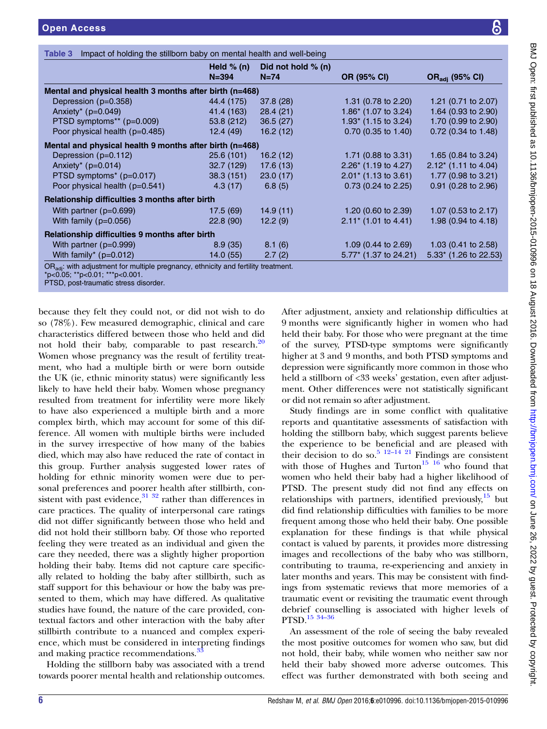<span id="page-5-0"></span>

|                                                         | Held $%$ (n)<br>$N = 394$ | Did not hold $% (n)$<br>$N=74$ | OR (95% CI)                    | $OR_{\text{adi}}$ (95% CI)     |
|---------------------------------------------------------|---------------------------|--------------------------------|--------------------------------|--------------------------------|
| Mental and physical health 3 months after birth (n=468) |                           |                                |                                |                                |
| Depression (p=0.358)                                    | 44.4 (175)                | 37.8(28)                       | 1.31 $(0.78 \text{ to } 2.20)$ | 1.21 (0.71 to 2.07)            |
| Anxiety* $(p=0.049)$                                    | 41.4 (163)                | 28.4(21)                       | 1.86 $*$ (1.07 to 3.24)        | 1.64 (0.93 to 2.90)            |
| PTSD symptoms** $(p=0.009)$                             | 53.8(212)                 | 36.5(27)                       | $1.93^*$ (1.15 to 3.24)        | 1.70 (0.99 to 2.90)            |
| Poor physical health (p=0.485)                          | 12.4(49)                  | 16.2(12)                       | $0.70$ (0.35 to 1.40)          | 0.72 (0.34 to 1.48)            |
| Mental and physical health 9 months after birth (n=468) |                           |                                |                                |                                |
| Depression (p=0.112)                                    | 25.6(101)                 | 16.2(12)                       | 1.71 $(0.88 \text{ to } 3.31)$ | 1.65 $(0.84 \text{ to } 3.24)$ |
| Anxiety* $(p=0.014)$                                    | 32.7(129)                 | 17.6(13)                       | $2.26^*$ (1.19 to 4.27)        | $2.12^*$ (1.11 to 4.04)        |
| PTSD symptoms* (p=0.017)                                | 38.3(151)                 | 23.0(17)                       | $2.01^*$ (1.13 to 3.61)        | 1.77 (0.98 to 3.21)            |
| Poor physical health (p=0.541)                          | 4.3(17)                   | 6.8(5)                         | $0.73$ (0.24 to 2.25)          | $0.91$ (0.28 to 2.96)          |
| Relationship difficulties 3 months after birth          |                           |                                |                                |                                |
| With partner $(p=0.699)$                                | 17.5 (69)                 | 14.9(11)                       | 1.20 $(0.60 \text{ to } 2.39)$ | 1.07 (0.53 to $2.17$ )         |
| With family $(p=0.056)$                                 | 22.8(90)                  | 12.2(9)                        | $2.11^*$ (1.01 to 4.41)        | 1.98 (0.94 to 4.18)            |
| Relationship difficulties 9 months after birth          |                           |                                |                                |                                |
| With partner $(p=0.999)$                                | 8.9(35)                   | 8.1(6)                         | 1.09 $(0.44 \text{ to } 2.69)$ | 1.03 $(0.41 \text{ to } 2.58)$ |
| With family* $(p=0.012)$                                | 14.0(55)                  | 2.7(2)                         | $5.77^*$ (1.37 to 24.21)       | 5.33* (1.26 to 22.53)          |

Table 3 Impact of holding the stillborn baby on mental health and well-being

because they felt they could not, or did not wish to do so (78%). Few measured demographic, clinical and care characteristics differed between those who held and did not hold their baby, comparable to past research. $20$ Women whose pregnancy was the result of fertility treatment, who had a multiple birth or were born outside the UK (ie, ethnic minority status) were significantly less likely to have held their baby. Women whose pregnancy resulted from treatment for infertility were more likely to have also experienced a multiple birth and a more complex birth, which may account for some of this difference. All women with multiple births were included in the survey irrespective of how many of the babies died, which may also have reduced the rate of contact in this group. Further analysis suggested lower rates of holding for ethnic minority women were due to personal preferences and poorer health after stillbirth, consistent with past evidence,  $31 \frac{32}{2}$  rather than differences in care practices. The quality of interpersonal care ratings did not differ significantly between those who held and did not hold their stillborn baby. Of those who reported feeling they were treated as an individual and given the care they needed, there was a slightly higher proportion holding their baby. Items did not capture care specifically related to holding the baby after stillbirth, such as staff support for this behaviour or how the baby was presented to them, which may have differed. As qualitative studies have found, the nature of the care provided, contextual factors and other interaction with the baby after stillbirth contribute to a nuanced and complex experience, which must be considered in interpreting findings and making practice recommendations.<sup>[33](#page-8-0)</sup>

Holding the stillborn baby was associated with a trend towards poorer mental health and relationship outcomes.

After adjustment, anxiety and relationship difficulties at 9 months were significantly higher in women who had held their baby. For those who were pregnant at the time of the survey, PTSD-type symptoms were significantly higher at 3 and 9 months, and both PTSD symptoms and depression were significantly more common in those who held a stillborn of <33 weeks' gestation, even after adjustment. Other differences were not statistically significant or did not remain so after adjustment.

Study findings are in some conflict with qualitative reports and quantitative assessments of satisfaction with holding the stillborn baby, which suggest parents believe the experience to be beneficial and are pleased with their decision to do so.<sup>5 12–14 [21](#page-8-0)</sup> Findings are consistent with those of Hughes and Turton<sup>[15 16](#page-8-0)</sup> who found that women who held their baby had a higher likelihood of PTSD. The present study did not find any effects on relationships with partners, identified previously,<sup>15</sup> but did find relationship difficulties with families to be more frequent among those who held their baby. One possible explanation for these findings is that while physical contact is valued by parents, it provides more distressing images and recollections of the baby who was stillborn, contributing to trauma, re-experiencing and anxiety in later months and years. This may be consistent with findings from systematic reviews that more memories of a traumatic event or revisiting the traumatic event through debrief counselling is associated with higher levels of PTSD[.15 34](#page-8-0)–<sup>36</sup>

An assessment of the role of seeing the baby revealed the most positive outcomes for women who saw, but did not hold, their baby, while women who neither saw nor held their baby showed more adverse outcomes. This effect was further demonstrated with both seeing and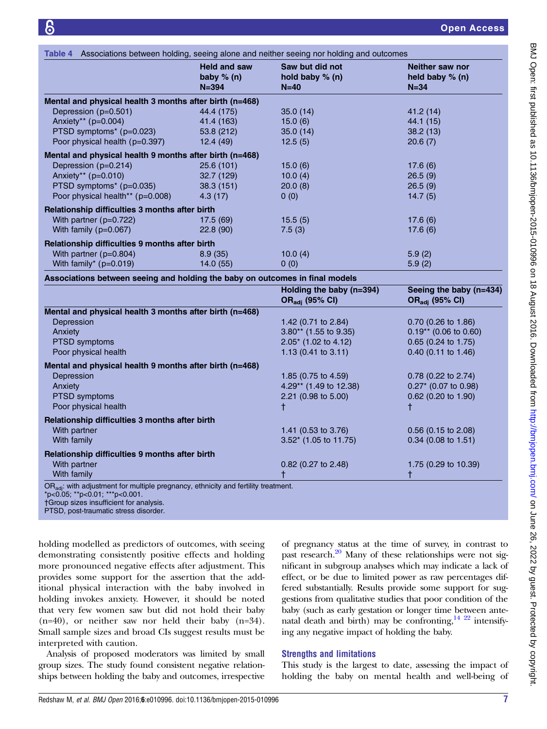<span id="page-6-0"></span>

|                                                                              | <b>Held and saw</b><br>baby $% (n)$<br>$N = 394$ | Saw but did not<br>hold baby $% (n)$<br>$N=40$ | Neither saw nor<br>held baby $% (n)$<br>$N = 34$ |
|------------------------------------------------------------------------------|--------------------------------------------------|------------------------------------------------|--------------------------------------------------|
| Mental and physical health 3 months after birth (n=468)                      |                                                  |                                                |                                                  |
| Depression (p=0.501)                                                         | 44.4 (175)                                       | 35.0(14)                                       | 41.2(14)                                         |
| Anxiety** $(p=0.004)$                                                        | 41.4 (163)                                       | 15.0(6)                                        | 44.1 (15)                                        |
| PTSD symptoms* (p=0.023)                                                     | 53.8 (212)                                       | 35.0(14)                                       | 38.2(13)                                         |
| Poor physical health (p=0.397)                                               | 12.4 (49)                                        | 12.5(5)                                        | 20.6(7)                                          |
| Mental and physical health 9 months after birth (n=468)                      |                                                  |                                                |                                                  |
| Depression (p=0.214)                                                         | 25.6(101)                                        | 15.0(6)                                        | 17.6(6)                                          |
| Anxiety** (p=0.010)                                                          | 32.7(129)                                        | 10.0(4)                                        | 26.5(9)                                          |
| PTSD symptoms* (p=0.035)                                                     | 38.3(151)                                        | 20.0(8)                                        | 26.5(9)                                          |
| Poor physical health** (p=0.008)                                             | 4.3(17)                                          | 0(0)                                           | 14.7(5)                                          |
| Relationship difficulties 3 months after birth                               |                                                  |                                                |                                                  |
| With partner $(p=0.722)$                                                     | 17.5 (69)                                        | 15.5(5)                                        | 17.6(6)                                          |
| With family $(p=0.067)$                                                      | 22.8(90)                                         | 7.5(3)                                         | 17.6(6)                                          |
| Relationship difficulties 9 months after birth                               |                                                  |                                                |                                                  |
| With partner (p=0.804)                                                       | 8.9(35)                                          | 10.0 $(4)$                                     | 5.9(2)                                           |
| With family* $(p=0.019)$                                                     | 14.0(55)                                         | 0(0)                                           | 5.9(2)                                           |
| Associations between seeing and holding the baby on outcomes in final models |                                                  |                                                |                                                  |
|                                                                              |                                                  | $H = M \cdot M \cdot M \cdot M \cdot M$        | $0$ aaliga tha habu (n-494)                      |

|                                                                                               | Holding the baby $(n=394)$<br>OR <sub>adi</sub> (95% CI) | Seeing the baby (n=434)<br>OR <sub>adi</sub> (95% CI) |
|-----------------------------------------------------------------------------------------------|----------------------------------------------------------|-------------------------------------------------------|
|                                                                                               |                                                          |                                                       |
| Mental and physical health 3 months after birth (n=468)                                       |                                                          |                                                       |
| Depression                                                                                    | 1.42 (0.71 to 2.84)                                      | $0.70(0.26 \text{ to } 1.86)$                         |
| Anxiety                                                                                       | $3.80**$ (1.55 to 9.35)                                  | $0.19**$ (0.06 to 0.60)                               |
| <b>PTSD</b> symptoms                                                                          | $2.05^*$ (1.02 to 4.12)                                  | $0.65$ (0.24 to 1.75)                                 |
| Poor physical health                                                                          | 1.13 $(0.41 \text{ to } 3.11)$                           | $0.40$ (0.11 to 1.46)                                 |
| Mental and physical health 9 months after birth (n=468)                                       |                                                          |                                                       |
| Depression                                                                                    | 1.85 (0.75 to 4.59)                                      | $0.78$ (0.22 to 2.74)                                 |
| Anxiety                                                                                       | 4.29** (1.49 to 12.38)                                   | $0.27$ <sup>*</sup> (0.07 to 0.98)                    |
| PTSD symptoms                                                                                 | $2.21$ (0.98 to 5.00)                                    | $0.62$ (0.20 to 1.90)                                 |
| Poor physical health                                                                          |                                                          |                                                       |
| Relationship difficulties 3 months after birth                                                |                                                          |                                                       |
| With partner                                                                                  | 1.41 $(0.53 \text{ to } 3.76)$                           | $0.56$ (0.15 to 2.08)                                 |
| With family                                                                                   | $3.52^*$ (1.05 to 11.75)                                 | $0.34$ (0.08 to 1.51)                                 |
| Relationship difficulties 9 months after birth                                                |                                                          |                                                       |
| With partner                                                                                  | $0.82$ (0.27 to 2.48)                                    | 1.75 $(0.29 \text{ to } 10.39)$                       |
| With family                                                                                   |                                                          |                                                       |
| OR <sub>ed</sub> : with adjustment for multiple pregnancy, ethnicity and fertility treatment. |                                                          |                                                       |

OR<sub>adj</sub>: with adjustment for multiple pregnancy, ethnicity and fertility treatment.

\*p<0.05; \*\*p<0.01; \*\*\*p<0.001.

†Group sizes insufficient for analysis.

PTSD, post-traumatic stress disorder.

holding modelled as predictors of outcomes, with seeing demonstrating consistently positive effects and holding more pronounced negative effects after adjustment. This provides some support for the assertion that the additional physical interaction with the baby involved in holding invokes anxiety. However, it should be noted that very few women saw but did not hold their baby (n=40), or neither saw nor held their baby (n=34). Small sample sizes and broad CIs suggest results must be interpreted with caution.

Analysis of proposed moderators was limited by small group sizes. The study found consistent negative relationships between holding the baby and outcomes, irrespective

of pregnancy status at the time of survey, in contrast to past research.<sup>[20](#page-8-0)</sup> Many of these relationships were not significant in subgroup analyses which may indicate a lack of effect, or be due to limited power as raw percentages differed substantially. Results provide some support for suggestions from qualitative studies that poor condition of the baby (such as early gestation or longer time between antenatal death and birth) may be confronting,  $14^{22}$  intensifying any negative impact of holding the baby.

# Strengths and limitations

This study is the largest to date, assessing the impact of holding the baby on mental health and well-being of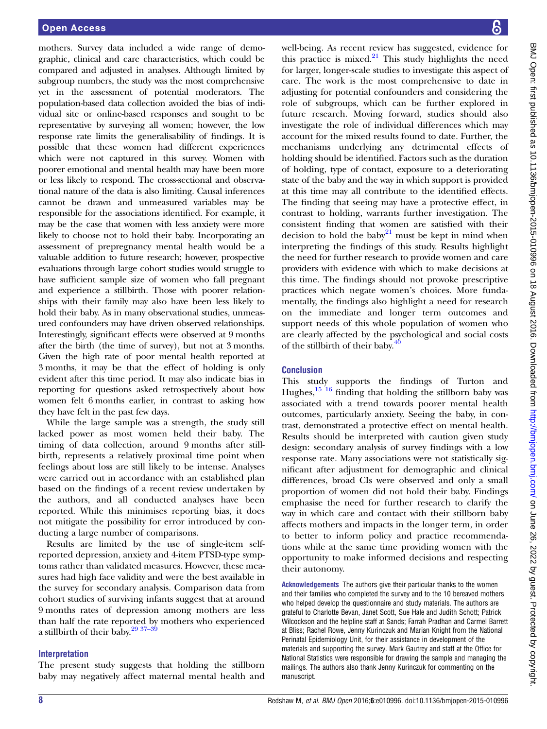mothers. Survey data included a wide range of demographic, clinical and care characteristics, which could be compared and adjusted in analyses. Although limited by subgroup numbers, the study was the most comprehensive yet in the assessment of potential moderators. The population-based data collection avoided the bias of individual site or online-based responses and sought to be representative by surveying all women; however, the low response rate limits the generalisability of findings. It is possible that these women had different experiences which were not captured in this survey. Women with poorer emotional and mental health may have been more or less likely to respond. The cross-sectional and observational nature of the data is also limiting. Causal inferences cannot be drawn and unmeasured variables may be responsible for the associations identified. For example, it may be the case that women with less anxiety were more likely to choose not to hold their baby. Incorporating an assessment of prepregnancy mental health would be a valuable addition to future research; however, prospective evaluations through large cohort studies would struggle to have sufficient sample size of women who fall pregnant and experience a stillbirth. Those with poorer relationships with their family may also have been less likely to hold their baby. As in many observational studies, unmeasured confounders may have driven observed relationships. Interestingly, significant effects were observed at 9 months after the birth (the time of survey), but not at 3 months. Given the high rate of poor mental health reported at 3 months, it may be that the effect of holding is only evident after this time period. It may also indicate bias in reporting for questions asked retrospectively about how women felt 6 months earlier, in contrast to asking how they have felt in the past few days.

While the large sample was a strength, the study still lacked power as most women held their baby. The timing of data collection, around 9 months after stillbirth, represents a relatively proximal time point when feelings about loss are still likely to be intense. Analyses were carried out in accordance with an established plan based on the findings of a recent review undertaken by the authors, and all conducted analyses have been reported. While this minimises reporting bias, it does not mitigate the possibility for error introduced by conducting a large number of comparisons.

Results are limited by the use of single-item selfreported depression, anxiety and 4-item PTSD-type symptoms rather than validated measures. However, these measures had high face validity and were the best available in the survey for secondary analysis. Comparison data from cohort studies of surviving infants suggest that at around 9 months rates of depression among mothers are less than half the rate reported by mothers who experienced a stillbirth of their baby. $29\frac{37-39}{2}$ 

#### Interpretation

The present study suggests that holding the stillborn baby may negatively affect maternal mental health and well-being. As recent review has suggested, evidence for this practice is mixed. $^{21}$  $^{21}$  $^{21}$  This study highlights the need for larger, longer-scale studies to investigate this aspect of care. The work is the most comprehensive to date in adjusting for potential confounders and considering the role of subgroups, which can be further explored in future research. Moving forward, studies should also investigate the role of individual differences which may account for the mixed results found to date. Further, the mechanisms underlying any detrimental effects of holding should be identified. Factors such as the duration of holding, type of contact, exposure to a deteriorating state of the baby and the way in which support is provided at this time may all contribute to the identified effects. The finding that seeing may have a protective effect, in contrast to holding, warrants further investigation. The consistent finding that women are satisfied with their decision to hold the baby $2^1$  must be kept in mind when interpreting the findings of this study. Results highlight the need for further research to provide women and care providers with evidence with which to make decisions at this time. The findings should not provoke prescriptive practices which negate women's choices. More fundamentally, the findings also highlight a need for research on the immediate and longer term outcomes and support needs of this whole population of women who are clearly affected by the psychological and social costs of the stillbirth of their baby[.40](#page-8-0)

# **Conclusion**

This study supports the findings of Turton and Hughes, $\frac{15}{16}$  finding that holding the stillborn baby was associated with a trend towards poorer mental health outcomes, particularly anxiety. Seeing the baby, in contrast, demonstrated a protective effect on mental health. Results should be interpreted with caution given study design: secondary analysis of survey findings with a low response rate. Many associations were not statistically significant after adjustment for demographic and clinical differences, broad CIs were observed and only a small proportion of women did not hold their baby. Findings emphasise the need for further research to clarify the way in which care and contact with their stillborn baby affects mothers and impacts in the longer term, in order to better to inform policy and practice recommendations while at the same time providing women with the opportunity to make informed decisions and respecting their autonomy.

Acknowledgements The authors give their particular thanks to the women and their families who completed the survey and to the 10 bereaved mothers who helped develop the questionnaire and study materials. The authors are grateful to Charlotte Bevan, Janet Scott, Sue Hale and Judith Schott; Patrick Wilcockson and the helpline staff at Sands; Farrah Pradhan and Carmel Barrett at Bliss; Rachel Rowe, Jenny Kurinczuk and Marian Knight from the National Perinatal Epidemiology Unit, for their assistance in development of the materials and supporting the survey. Mark Gautrey and staff at the Office for National Statistics were responsible for drawing the sample and managing the mailings. The authors also thank Jenny Kurinczuk for commenting on the manuscript.